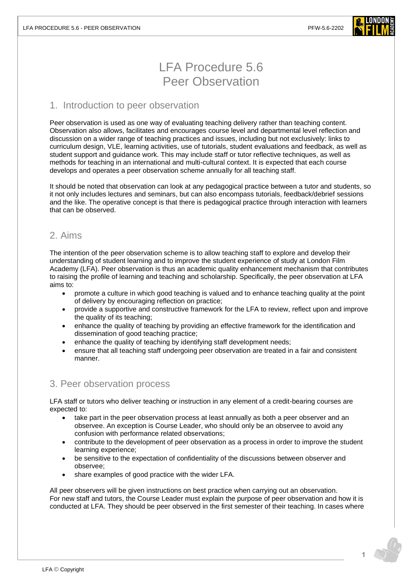

# LFA Procedure 5.6 Peer Observation

## 1. Introduction to peer observation

Peer observation is used as one way of evaluating teaching delivery rather than teaching content. Observation also allows, facilitates and encourages course level and departmental level reflection and discussion on a wider range of teaching practices and issues, including but not exclusively: links to curriculum design, VLE, learning activities, use of tutorials, student evaluations and feedback, as well as student support and guidance work. This may include staff or tutor reflective techniques, as well as methods for teaching in an international and multi-cultural context. It is expected that each course develops and operates a peer observation scheme annually for all teaching staff.

It should be noted that observation can look at any pedagogical practice between a tutor and students, so it not only includes lectures and seminars, but can also encompass tutorials, feedback/debrief sessions and the like. The operative concept is that there is pedagogical practice through interaction with learners that can be observed.

# 2. Aims

The intention of the peer observation scheme is to allow teaching staff to explore and develop their understanding of student learning and to improve the student experience of study at London Film Academy (LFA). Peer observation is thus an academic quality enhancement mechanism that contributes to raising the profile of learning and teaching and scholarship. Specifically, the peer observation at LFA aims to:

- promote a culture in which good teaching is valued and to enhance teaching quality at the point of delivery by encouraging reflection on practice;
- provide a supportive and constructive framework for the LFA to review, reflect upon and improve the quality of its teaching;
- enhance the quality of teaching by providing an effective framework for the identification and dissemination of good teaching practice;
- enhance the quality of teaching by identifying staff development needs;
- ensure that all teaching staff undergoing peer observation are treated in a fair and consistent manner.

## 3. Peer observation process

LFA staff or tutors who deliver teaching or instruction in any element of a credit-bearing courses are expected to:

- take part in the peer observation process at least annually as both a peer observer and an observee. An exception is Course Leader, who should only be an observee to avoid any confusion with performance related observations;
- contribute to the development of peer observation as a process in order to improve the student learning experience;
- be sensitive to the expectation of confidentiality of the discussions between observer and observee;
- share examples of good practice with the wider LFA.

All peer observers will be given instructions on best practice when carrying out an observation. For new staff and tutors, the Course Leader must explain the purpose of peer observation and how it is conducted at LFA. They should be peer observed in the first semester of their teaching. In cases where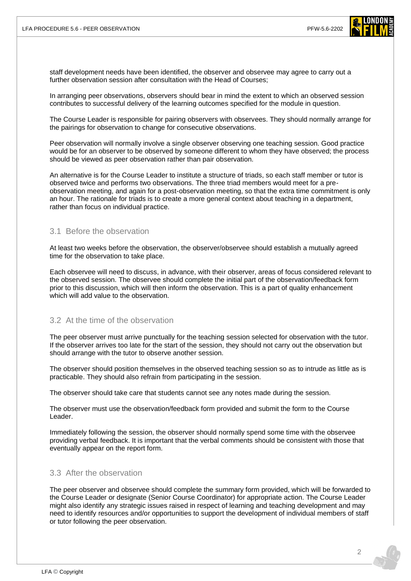

staff development needs have been identified, the observer and observee may agree to carry out a further observation session after consultation with the Head of Courses;

In arranging peer observations, observers should bear in mind the extent to which an observed session contributes to successful delivery of the learning outcomes specified for the module in question.

The Course Leader is responsible for pairing observers with observees. They should normally arrange for the pairings for observation to change for consecutive observations.

Peer observation will normally involve a single observer observing one teaching session. Good practice would be for an observer to be observed by someone different to whom they have observed; the process should be viewed as peer observation rather than pair observation.

An alternative is for the Course Leader to institute a structure of triads, so each staff member or tutor is observed twice and performs two observations. The three triad members would meet for a preobservation meeting, and again for a post-observation meeting, so that the extra time commitment is only an hour. The rationale for triads is to create a more general context about teaching in a department, rather than focus on individual practice.

#### 3.1 Before the observation

At least two weeks before the observation, the observer/observee should establish a mutually agreed time for the observation to take place.

Each observee will need to discuss, in advance, with their observer, areas of focus considered relevant to the observed session. The observee should complete the initial part of the observation/feedback form prior to this discussion, which will then inform the observation. This is a part of quality enhancement which will add value to the observation.

#### 3.2 At the time of the observation

The peer observer must arrive punctually for the teaching session selected for observation with the tutor. If the observer arrives too late for the start of the session, they should not carry out the observation but should arrange with the tutor to observe another session.

The observer should position themselves in the observed teaching session so as to intrude as little as is practicable. They should also refrain from participating in the session.

The observer should take care that students cannot see any notes made during the session.

The observer must use the observation/feedback form provided and submit the form to the Course Leader.

Immediately following the session, the observer should normally spend some time with the observee providing verbal feedback. It is important that the verbal comments should be consistent with those that eventually appear on the report form.

#### 3.3 After the observation

The peer observer and observee should complete the summary form provided, which will be forwarded to the Course Leader or designate (Senior Course Coordinator) for appropriate action. The Course Leader might also identify any strategic issues raised in respect of learning and teaching development and may need to identify resources and/or opportunities to support the development of individual members of staff or tutor following the peer observation.